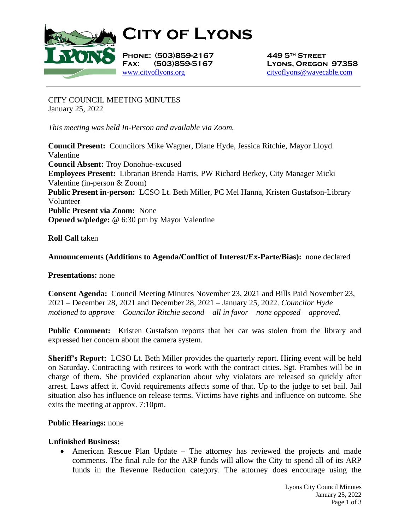

**City of Lyons**

**Phone: (503)859-2167 449 5th Street** [www.cityoflyons.org](http://www.cityoflyons.org/) [cityoflyons@wavecable.com](mailto:cityoflyons@wavecable.com)

**Fax: (503)859-5167 Lyons, Oregon 97358**

CITY COUNCIL MEETING MINUTES January 25, 2022

*This meeting was held In-Person and available via Zoom.*

**Council Present:** Councilors Mike Wagner, Diane Hyde, Jessica Ritchie, Mayor Lloyd Valentine **Council Absent:** Troy Donohue-excused **Employees Present:** Librarian Brenda Harris, PW Richard Berkey, City Manager Micki Valentine (in-person & Zoom) **Public Present in-person:** LCSO Lt. Beth Miller, PC Mel Hanna, Kristen Gustafson-Library Volunteer **Public Present via Zoom:** None **Opened w/pledge:** @ 6:30 pm by Mayor Valentine

**Roll Call** taken

# **Announcements (Additions to Agenda/Conflict of Interest/Ex-Parte/Bias):** none declared

## **Presentations:** none

**Consent Agenda:** Council Meeting Minutes November 23, 2021 and Bills Paid November 23, 2021 – December 28, 2021 and December 28, 2021 – January 25, 2022. *Councilor Hyde motioned to approve – Councilor Ritchie second – all in favor – none opposed – approved.* 

Public Comment: Kristen Gustafson reports that her car was stolen from the library and expressed her concern about the camera system.

**Sheriff's Report:** LCSO Lt. Beth Miller provides the quarterly report. Hiring event will be held on Saturday. Contracting with retirees to work with the contract cities. Sgt. Frambes will be in charge of them. She provided explanation about why violators are released so quickly after arrest. Laws affect it. Covid requirements affects some of that. Up to the judge to set bail. Jail situation also has influence on release terms. Victims have rights and influence on outcome. She exits the meeting at approx. 7:10pm.

## **Public Hearings:** none

#### **Unfinished Business:**

• American Rescue Plan Update – The attorney has reviewed the projects and made comments. The final rule for the ARP funds will allow the City to spend all of its ARP funds in the Revenue Reduction category. The attorney does encourage using the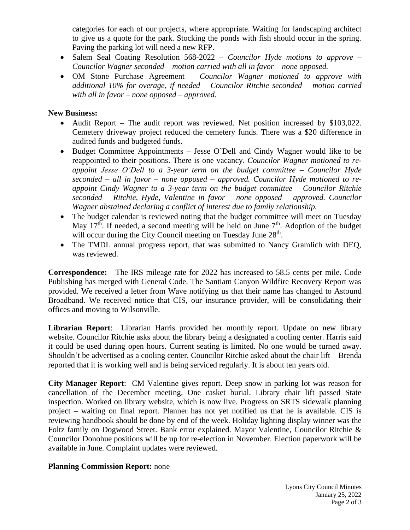categories for each of our projects, where appropriate. Waiting for landscaping architect to give us a quote for the park. Stocking the ponds with fish should occur in the spring. Paving the parking lot will need a new RFP.

- Salem Seal Coating Resolution 568-2022 *Councilor Hyde motions to approve – Councilor Wagner seconded – motion carried with all in favor – none opposed.*
- OM Stone Purchase Agreement *Councilor Wagner motioned to approve with additional 10% for overage, if needed – Councilor Ritchie seconded – motion carried with all in favor – none opposed – approved.*

### **New Business:**

- Audit Report The audit report was reviewed. Net position increased by \$103,022. Cemetery driveway project reduced the cemetery funds. There was a \$20 difference in audited funds and budgeted funds.
- Budget Committee Appointments Jesse O'Dell and Cindy Wagner would like to be reappointed to their positions. There is one vacancy. *Councilor Wagner motioned to reappoint Jesse O'Dell to a 3-year term on the budget committee – Councilor Hyde seconded – all in favor – none opposed – approved. Councilor Hyde motioned to reappoint Cindy Wagner to a 3-year term on the budget committee – Councilor Ritchie seconded – Ritchie, Hyde, Valentine in favor – none opposed – approved. Councilor Wagner abstained declaring a conflict of interest due to family relationship.*
- The budget calendar is reviewed noting that the budget committee will meet on Tuesday May  $17<sup>th</sup>$ . If needed, a second meeting will be held on June  $7<sup>th</sup>$ . Adoption of the budget will occur during the City Council meeting on Tuesday June 28<sup>th</sup>.
- The TMDL annual progress report, that was submitted to Nancy Gramlich with DEQ, was reviewed.

**Correspondence:** The IRS mileage rate for 2022 has increased to 58.5 cents per mile. Code Publishing has merged with General Code. The Santiam Canyon Wildfire Recovery Report was provided. We received a letter from Wave notifying us that their name has changed to Astound Broadband. We received notice that CIS, our insurance provider, will be consolidating their offices and moving to Wilsonville.

**Librarian Report**: Librarian Harris provided her monthly report. Update on new library website. Councilor Ritchie asks about the library being a designated a cooling center. Harris said it could be used during open hours. Current seating is limited. No one would be turned away. Shouldn't be advertised as a cooling center. Councilor Ritchie asked about the chair lift – Brenda reported that it is working well and is being serviced regularly. It is about ten years old.

**City Manager Report**: CM Valentine gives report. Deep snow in parking lot was reason for cancellation of the December meeting. One casket burial. Library chair lift passed State inspection. Worked on library website, which is now live. Progress on SRTS sidewalk planning project – waiting on final report. Planner has not yet notified us that he is available. CIS is reviewing handbook should be done by end of the week. Holiday lighting display winner was the Foltz family on Dogwood Street. Bank error explained. Mayor Valentine, Councilor Ritchie & Councilor Donohue positions will be up for re-election in November. Election paperwork will be available in June. Complaint updates were reviewed.

#### **Planning Commission Report:** none